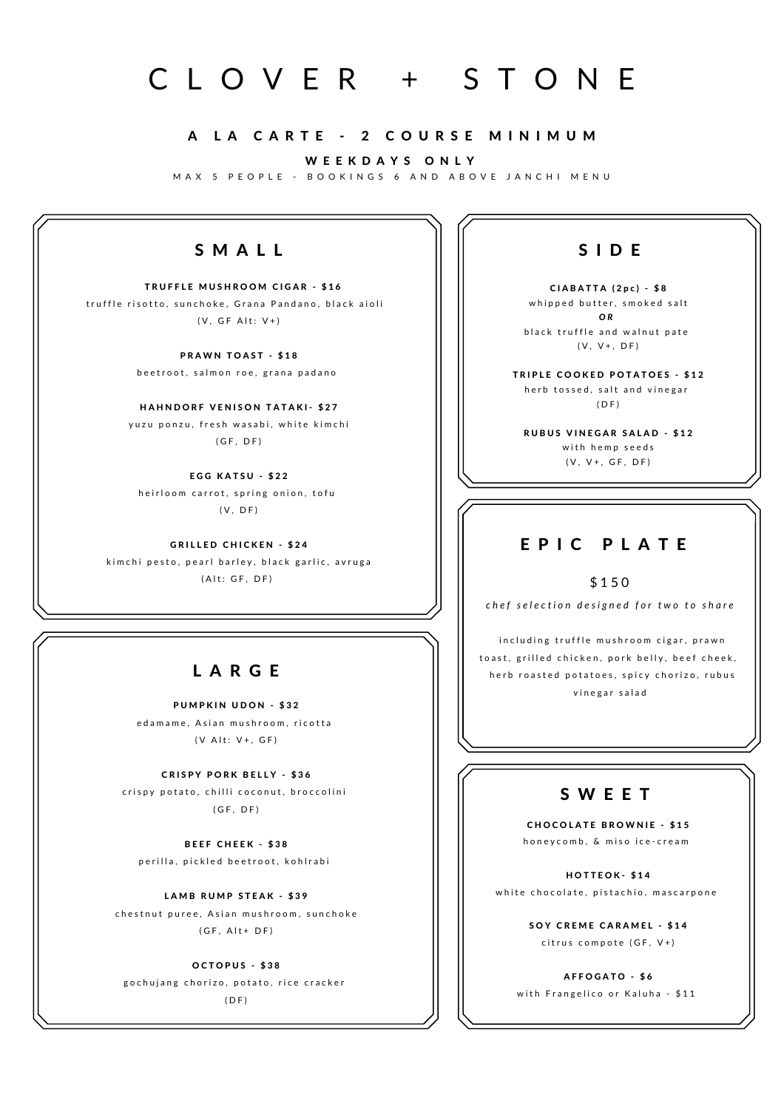# C L O V E R + S T O N E

#### A LA CARTE - 2 COURSE MINIMUM

W E E K D A Y S O N L Y

M A X 5 P E O P L E - B O O K I N G S 6 A N D A B O V E J A N C H I M E N U

## S M A L L

TRUFFLE MUSHROOM CIGAR - \$16 truffle risotto, sunchoke, Grana Pandano, black aioli  $(V, GF Alt: V+)$ 

> PRAWN TOAST - \$18 beetroot, salmon roe, grana padano

HAHNDORF VENISON TATAKI- \$27 y uzu ponzu, fresh wasabi, white kimchi  $(GF, DF)$ 

EGG KATSU - \$22 heirloom carrot, spring onion, tofu  $(V, DF)$ 

**GRILLED CHICKEN - \$24** kim chi pesto, pearl barley, black garlic, avruga ( A lt : G F , D F )

## L A R G E

PUMPKIN UDON - \$32 edamame, Asian mushroom, ricotta

 $(V$  Alt:  $V^+$ , GF)

CRISPY PORK BELLY - \$36 crispy potato, chilli coconut, broccolini  $(GF, DF)$ 

BEEF CHEEK - \$38 p e r illa, pickled beet root, kohl rabi

LAMB RUMP STEAK - \$39 chestnut puree, Asian mushroom, sunchoke  $(GF, Alt+DF)$ 

OCTOPUS - \$38

gochujang chorizo, potato, rice cracker  $(DF)$ 

## S I D E

 $CIABATTA (2pc) - $8$ whipped butter, smoked salt *O R* black truffle and walnut pate  $(V, V+, DF)$ 

TRIPLE COOKED POTATOES - \$12 herb tossed, salt and vinegar  $(D F)$ 

RUBUS VINEGAR SALAD - \$12 with hemp seeds  $(V, V+, GF, DF)$ 

### E P I C P L A T F

\$ 1 5 0

chef selection designed for two to share

including truffle mushroom cigar, prawn toast, grilled chicken, pork belly, beef cheek, herb roasted potatoes, spicy chorizo, rubus vinegar salad

## S W E E T

CHOCOLATE BROWNIE - \$15 h o n e y c o m b, & m i s o i c e - c r e a m

HOTTEOK-\$14 white chocolate, pistachio, mascarpone

> SOY CREME CARAMEL - \$14 citrus compote (GF, V+)

AFFOGATO - \$6 with Frangelico or Kaluha - \$11